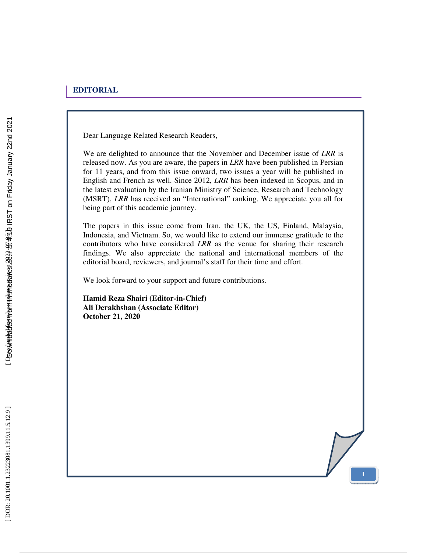Dear Language Related Research Readers,

We are delighted to announce that the November and December issue of *LRR* is released now. As you are aware, the papers in *LRR* have been published in Persian for 11 years, and from this issue onward, two issues a year will be published in English and French as well. Since 2012, *LRR* has been indexed in Scopus, and in the latest evaluation by the Iranian Ministry of Science, Research and Technology (MSRT), *LRR* has received an "International" ranking. We appreciate you all for being part of this academic journey.

The papers in this issue come from Iran, the UK, the US, Finland, Malaysia, Indonesia, and Vietnam. So, we would like to extend our immense gratitude to the contributors who have considered *LRR* as the venue for sharing their research findings. We also appreciate the national and international members of the editorial board, reviewers, and journal's staff for their time and effort.

**I**

We look forward to your support and future contributions.

**Hamid Reza Shairi (Editor-in-Chief) Ali Derakhshan (Associate Editor) October 21, 2020**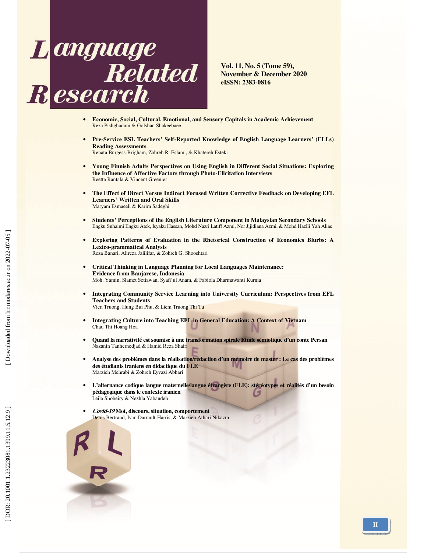

**Vol. 11, No. 5 (Tome 59), November & December 2020 eISSN: 2383-0816** 

- **Economic, Social, Cultural, Emotional, and Sensory Capitals in Academic Achievement**  Reza Pishghadam & Golshan Shakeebaee
- **Pre-Service ESL Teachers' Self-Reported Knowledge of English Language Learners' (ELLs) Reading Assessments**

Renata Burgess-Brigham, Zohreh R. Eslami, & Khatereh Esteki

- **Young Finnish Adults Perspectives on Using English in Different Social Situations: Exploring the Influence of Affective Factors through Photo-Elicitation Interviews**  Reetta Rantala & Vincent Greenier
- **The Effect of Direct Versus Indirect Focused Written Corrective Feedback on Developing EFL Learners' Written and Oral Skills**  Maryam Esmaeeli & Karim Sadeghi
- **Students' Perceptions of the English Literature Component in Malaysian Secondary Schools**  Engku Suhaimi Engku Atek, Isyaku Hassan, Mohd Nazri Latiff Azmi, Nor Jijidiana Azmi, & Mohd Hazlli Yah Alias
- **Exploring Patterns of Evaluation in the Rhetorical Construction of Economics Blurbs: A Lexico-grammatical Analysis**  Reza Banari, Alireza Jalilifar, & Zohreh G. Shooshtari
- **Critical Thinking in Language Planning for Local Languages Maintenance: Evidence from Banjarese, Indonesia**  Moh. Yamin, Slamet Setiawan, Syafi'ul Anam, & Fabiola Dharmawanti Kurnia
- **Integrating Community Service Learning into University Curriculum: Perspectives from EFL Teachers and Students**  Vien Truong, Hung Bui Phu, & Liem Truong Thi Tu
- **Integrating Culture into Teaching EFL in General Education: A Context of Vietnam**
- **Quand la narrativité est soumise à une transformation spirale Etude sémiotique d'un conte Persan**  Nazanin Tanhernedjad & Hamid Reza Shairi
- **Analyse des problèmes dans la réalisation/rédaction d'un mémoire de master : Le cas des problèmes des étudiants iraniens en didactique du FLE**  Marzieh Mehrabi & Zohreh Eyvazi Abhari
- **L'alternance codique langue maternelle/langue étrangère (FLE): stéréotypes et réalités d'un besoin pédagogique dans le contexte iranien**  U Leila Shobeiry & Nezhla Yabandeh
- **Covid-19 Mot, discours, situation, comportement**  Denis Bertrand, Ivan Darrault-Harris, & Marzieh Athari Nikazm



Chau Thi Hoang Hoa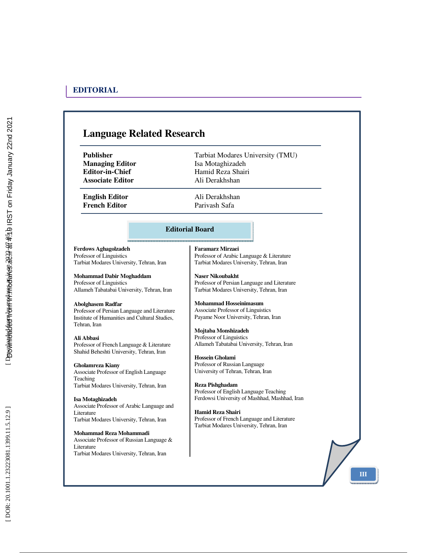## **Language Related Research Publisher Tarbiat Modares University (TMU) Managing Editor Isa Motaghizadeh Editor-in-Chief Hamid Reza Shairi Associate Editor** Ali Derakhshan **English Editor** Ali Derakhshan **French Editor Parivash Safa Ferdows Aghagolzadeh**  Professor of Linguistics Tarbiat Modares University, Tehran, Iran **Mohammad Dabir Moghaddam**  Professor of Linguistics Allameh Tabatabai University, Tehran, Iran **Abolghasem Radfar**  Professor of Persian Language and Literature Institute of Humanities and Cultural Studies, Tehran, Iran **Ali Abbasi**  Professor of French Language & Literature Shahid Beheshti University, Tehran, Iran **Gholamreza Kiany**  Associate Professor of English Language **Teaching** Tarbiat Modares University, Tehran, Iran **Isa Motaghizadeh**  Associate Professor of Arabic Language and Literature Tarbiat Modares University, Tehran, Iran **Mohammad Reza Mohammadi**  Associate Professor of Russian Language & Literature Tarbiat Modares University, Tehran, Iran **Faramarz Mirzaei**  Professor of Arabic Language & Literature Tarbiat Modares University, Tehran, Iran **Naser Nikoubakht**  Professor of Persian Language and Literature Tarbiat Modares University, Tehran, Iran **Mohammad Hosseinimasum**  Associate Professor of Linguistics Payame Noor University, Tehran, Iran **Mojtaba Monshizadeh** Professor of Linguistics Allameh Tabatabai University, Tehran, Iran **Hossein Gholami** Professor of Russian Language University of Tehran, Tehran, Iran **Reza Pishghadam** Professor of English Language Teaching Ferdowsi University of Mashhad, Mashhad, Iran **Hamid Reza Shairi** Professor of French Language and Literature Tarbiat Modares University, Tehran, Iran **Editorial Board**

**III**